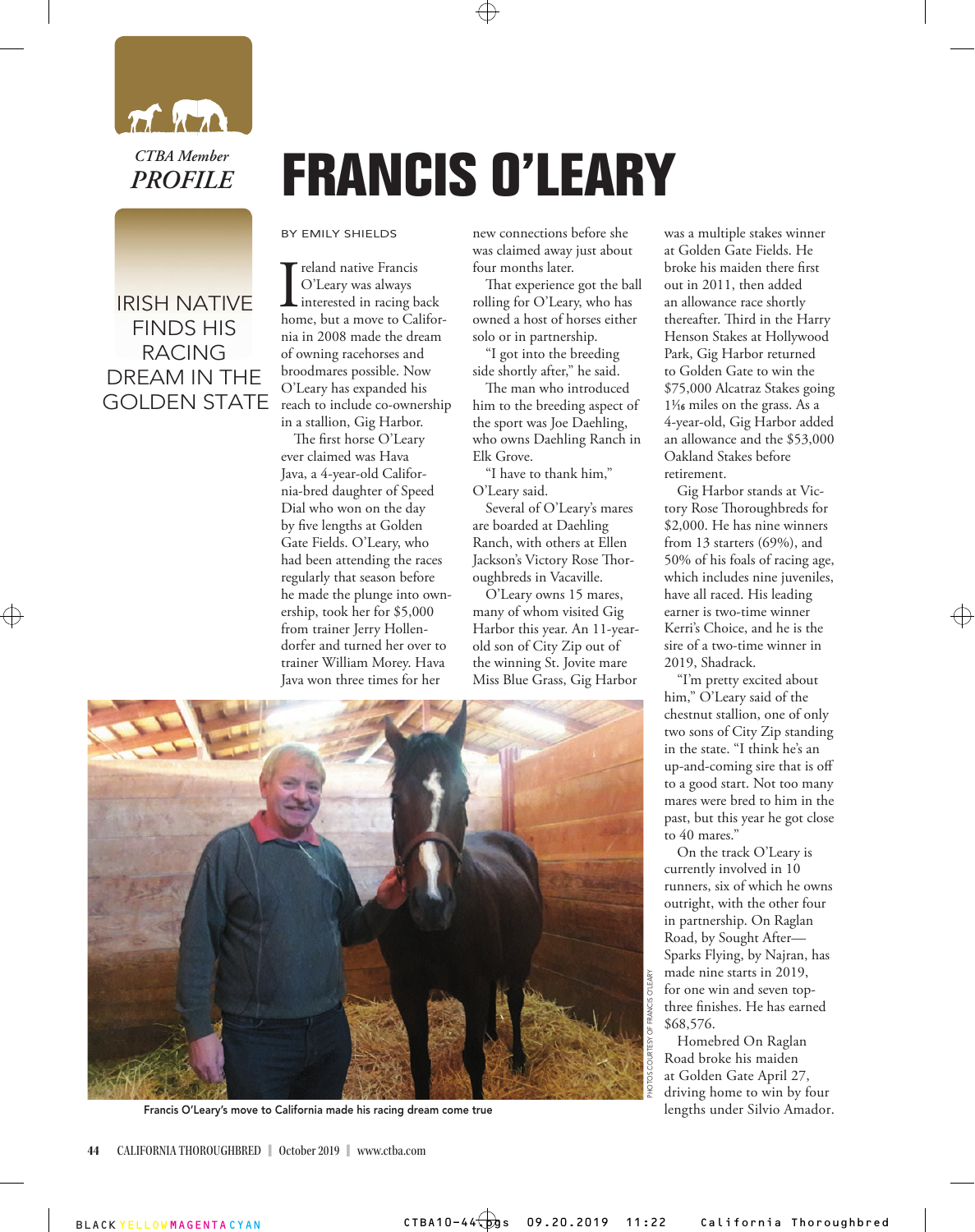

*CTBA Member PROFILE*

## IRISH NATIVE FINDS HIS RACING DREAM IN THE GOLDEN STATE

## **FRANCIS O'LEARY**

BY EMILY SHIELDS

 $\begin{array}{l} \displaystyle \bigcap_{\text{cleary was always}} \text{if a new probability of the input.} \\ \text{interested in racing back} \\ \text{home, but a move to California} \end{array}$ reland native Francis O'Leary was always interested in racing back nia in 2008 made the dream of owning racehorses and broodmares possible. Now O'Leary has expanded his reach to include co-ownership in a stallion, Gig Harbor.

The first horse O'Leary ever claimed was Hava Java, a 4-year-old California-bred daughter of Speed Dial who won on the day by five lengths at Golden Gate Fields. O'Leary, who had been attending the races regularly that season before he made the plunge into ownership, took her for \$5,000 from trainer Jerry Hollendorfer and turned her over to trainer William Morey. Hava Java won three times for her

new connections before she was claimed away just about four months later.

That experience got the ball rolling for O'Leary, who has owned a host of horses either solo or in partnership.

"I got into the breeding side shortly after," he said.

The man who introduced him to the breeding aspect of the sport was Joe Daehling, who owns Daehling Ranch in Elk Grove.

"I have to thank him," O'Leary said.

Several of O'Leary's mares are boarded at Daehling Ranch, with others at Ellen Jackson's Victory Rose Thoroughbreds in Vacaville.

O'Leary owns 15 mares, many of whom visited Gig Harbor this year. An 11-yearold son of City Zip out of the winning St. Jovite mare Miss Blue Grass, Gig Harbor



was a multiple stakes winner at Golden Gate Fields. He broke his maiden there first out in 2011, then added an allowance race shortly thereafter. Third in the Harry Henson Stakes at Hollywood Park, Gig Harbor returned to Golden Gate to win the \$75,000 Alcatraz Stakes going 1<sup>1</sup>/<sub>16</sub> miles on the grass. As a 4-year-old, Gig Harbor added an allowance and the \$53,000 Oakland Stakes before retirement.

Gig Harbor stands at Victory Rose Thoroughbreds for \$2,000. He has nine winners from 13 starters (69%), and 50% of his foals of racing age, which includes nine juveniles, have all raced. His leading earner is two-time winner Kerri's Choice, and he is the sire of a two-time winner in 2019, Shadrack.

"I'm pretty excited about him," O'Leary said of the chestnut stallion, one of only two sons of City Zip standing in the state. "I think he's an up-and-coming sire that is off to a good start. Not too many mares were bred to him in the past, but this year he got close to 40 mares."

On the track O'Leary is currently involved in 10 runners, six of which he owns outright, with the other four in partnership. On Raglan Road, by Sought After— Sparks Flying, by Najran, has made nine starts in 2019, for one win and seven topthree finishes. He has earned \$68,576.

Homebred On Raglan Road broke his maiden at Golden Gate April 27, driving home to win by four